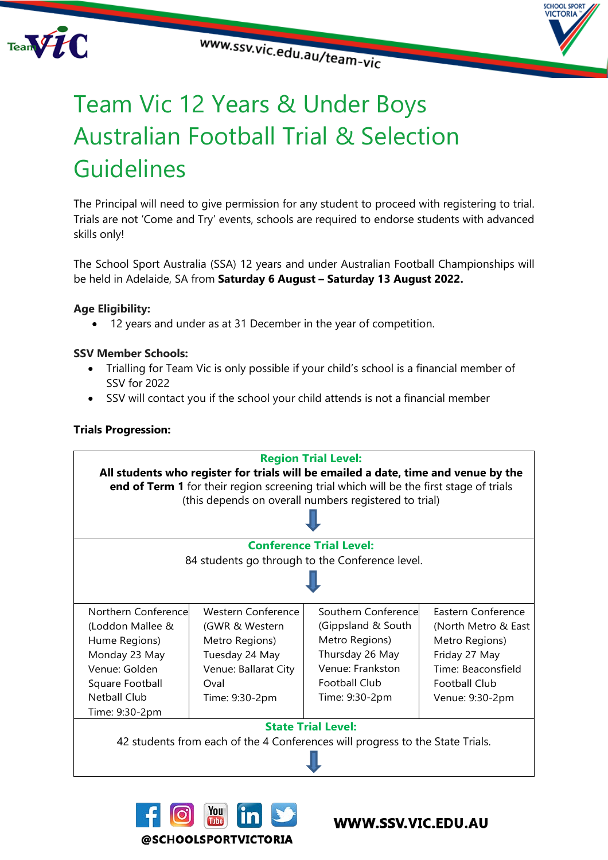

www.ssv.vic.edu.au/team-vic



## Team Vic 12 Years & Under Boys Australian Football Trial & Selection **Guidelines**

The Principal will need to give permission for any student to proceed with registering to trial. Trials are not 'Come and Try' events, schools are required to endorse students with advanced skills only!

The School Sport Australia (SSA) 12 years and under Australian Football Championships will be held in Adelaide, SA from **Saturday 6 August – Saturday 13 August 2022.**

### **Age Eligibility:**

12 years and under as at 31 December in the year of competition.

### **SSV Member Schools:**

- Trialling for Team Vic is only possible if your child's school is a financial member of SSV for 2022
- SSV will contact you if the school your child attends is not a financial member

### **Trials Progression:**





### WWW.SSV.VIC.EDU.AU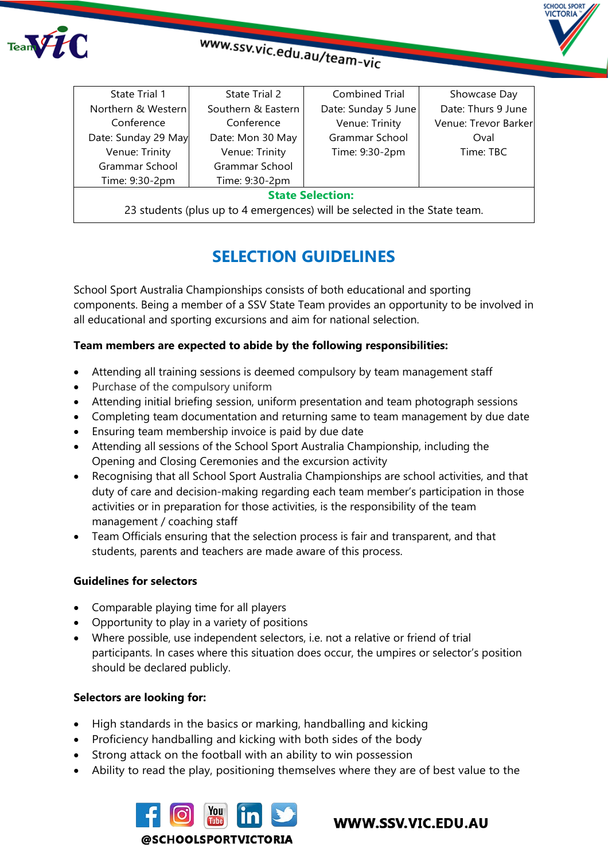



# www.ssv.vic.edu.au/team-vic

| State Trial 1                                                             | State Trial 2      | Combined Trial      | Showcase Day         |
|---------------------------------------------------------------------------|--------------------|---------------------|----------------------|
| Northern & Western                                                        | Southern & Eastern | Date: Sunday 5 June | Date: Thurs 9 June   |
| Conference                                                                | Conference         | Venue: Trinity      | Venue: Trevor Barker |
| Date: Sunday 29 May                                                       | Date: Mon 30 May   | Grammar School      | Oval                 |
| Venue: Trinity                                                            | Venue: Trinity     | Time: 9:30-2pm      | Time: TBC            |
| Grammar School                                                            | Grammar School     |                     |                      |
| Time: 9:30-2pm                                                            | Time: 9:30-2pm     |                     |                      |
| <b>State Selection:</b>                                                   |                    |                     |                      |
| 23 students (plus up to 4 emergences) will be selected in the State team. |                    |                     |                      |
|                                                                           |                    |                     |                      |

### **SELECTION GUIDELINES**

School Sport Australia Championships consists of both educational and sporting components. Being a member of a SSV State Team provides an opportunity to be involved in all educational and sporting excursions and aim for national selection.

### **Team members are expected to abide by the following responsibilities:**

- Attending all training sessions is deemed compulsory by team management staff
- Purchase of the compulsory uniform
- Attending initial briefing session, uniform presentation and team photograph sessions
- Completing team documentation and returning same to team management by due date
- Ensuring team membership invoice is paid by due date
- Attending all sessions of the School Sport Australia Championship, including the Opening and Closing Ceremonies and the excursion activity
- Recognising that all School Sport Australia Championships are school activities, and that duty of care and decision-making regarding each team member's participation in those activities or in preparation for those activities, is the responsibility of the team management / coaching staff
- Team Officials ensuring that the selection process is fair and transparent, and that students, parents and teachers are made aware of this process.

### **Guidelines for selectors**

- Comparable playing time for all players
- Opportunity to play in a variety of positions
- Where possible, use independent selectors, i.e. not a relative or friend of trial participants. In cases where this situation does occur, the umpires or selector's position should be declared publicly.

### **Selectors are looking for:**

- High standards in the basics or marking, handballing and kicking
- Proficiency handballing and kicking with both sides of the body
- Strong attack on the football with an ability to win possession
- Ability to read the play, positioning themselves where they are of best value to the